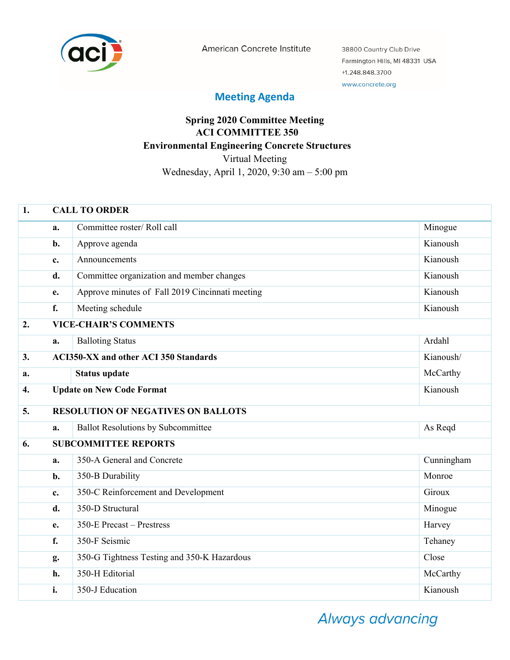

American Concrete Institute

38800 Country Club Drive Farmington Hills, MI 48331 USA +1.248.848.3700 www.concrete.org

## **Meeting Agenda**

## **Spring 2020 Committee Meeting ACI COMMITTEE 350 Environmental Engineering Concrete Structures**  Virtual Meeting Wednesday, April 1, 2020, 9:30 am – 5:00 pm

| 1.               | <b>CALL TO ORDER</b>                                      |                                                 |            |  |
|------------------|-----------------------------------------------------------|-------------------------------------------------|------------|--|
|                  | a.                                                        | Committee roster/Roll call                      | Minogue    |  |
|                  | b.                                                        | Approve agenda                                  | Kianoush   |  |
|                  | $c_{\cdot}$                                               | Announcements                                   | Kianoush   |  |
|                  | d.                                                        | Committee organization and member changes       | Kianoush   |  |
|                  | e.                                                        | Approve minutes of Fall 2019 Cincinnati meeting | Kianoush   |  |
|                  | f.                                                        | Meeting schedule                                | Kianoush   |  |
| 2.               | <b>VICE-CHAIR'S COMMENTS</b>                              |                                                 |            |  |
|                  | a.                                                        | <b>Balloting Status</b>                         | Ardahl     |  |
| 3.               | <b>ACI350-XX and other ACI 350 Standards</b><br>Kianoush/ |                                                 |            |  |
| a.               |                                                           | <b>Status update</b>                            | McCarthy   |  |
| $\overline{4}$ . |                                                           | <b>Update on New Code Format</b>                | Kianoush   |  |
| 5.               | <b>RESOLUTION OF NEGATIVES ON BALLOTS</b>                 |                                                 |            |  |
|                  | a.                                                        | <b>Ballot Resolutions by Subcommittee</b>       | As Reqd    |  |
| 6.               |                                                           | <b>SUBCOMMITTEE REPORTS</b>                     |            |  |
|                  | a.                                                        | 350-A General and Concrete                      | Cunningham |  |
|                  | b.                                                        | 350-B Durability                                | Monroe     |  |
|                  | c.                                                        | 350-C Reinforcement and Development             | Giroux     |  |
|                  | d.                                                        | 350-D Structural                                | Minogue    |  |
|                  | e.                                                        | 350-E Precast - Prestress                       | Harvey     |  |
|                  | f.                                                        | 350-F Seismic                                   | Tehaney    |  |
|                  | g.                                                        | 350-G Tightness Testing and 350-K Hazardous     | Close      |  |
|                  | h.                                                        | 350-H Editorial                                 | McCarthy   |  |
|                  | i.                                                        | 350-J Education                                 | Kianoush   |  |

Always advancing